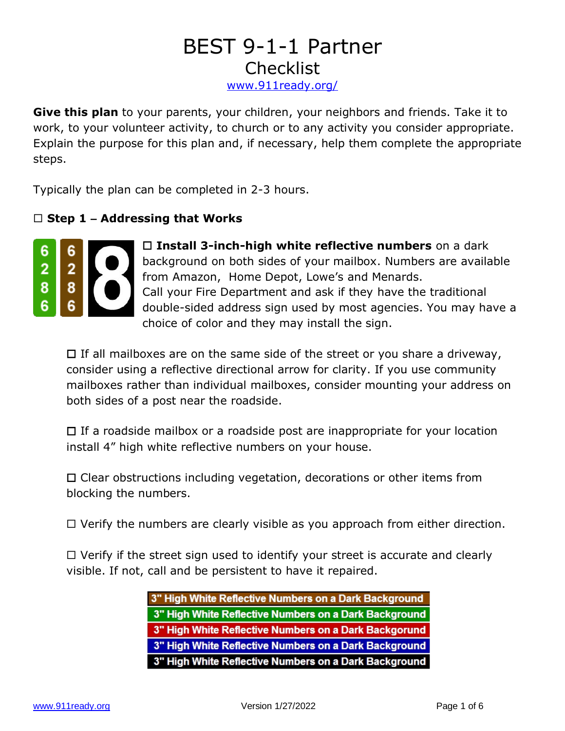## BEST 9-1-1 Partner **Checklist** <www.911ready.org/>

**Give this plan** to your parents, your children, your neighbors and friends. Take it to work, to your volunteer activity, to church or to any activity you consider appropriate. Explain the purpose for this plan and, if necessary, help them complete the appropriate steps.

Typically the plan can be completed in 2-3 hours.

## **Step 1 – Addressing that Works**



 **Install 3-inch-high white reflective numbers** on a dark background on both sides of your mailbox. Numbers are available from Amazon, Home Depot, Lowe's and Menards. Call your Fire Department and ask if they have the traditional double-sided address sign used by most agencies. You may have a choice of color and they may install the sign.

 $\Box$  If all mailboxes are on the same side of the street or you share a driveway, consider using a reflective directional arrow for clarity. If you use community mailboxes rather than individual mailboxes, consider mounting your address on both sides of a post near the roadside.

 $\Box$  If a roadside mailbox or a roadside post are inappropriate for your location install 4" high white reflective numbers on your house.

 $\Box$  Clear obstructions including vegetation, decorations or other items from blocking the numbers.

 $\Box$  Verify the numbers are clearly visible as you approach from either direction.

 $\Box$  Verify if the street sign used to identify your street is accurate and clearly visible. If not, call and be persistent to have it repaired.

> 3" High White Reflective Numbers on a Dark Background 3" High White Reflective Numbers on a Dark Background 3" High White Reflective Numbers on a Dark Backgorund 3" High White Reflective Numbers on a Dark Background 3" High White Reflective Numbers on a Dark Background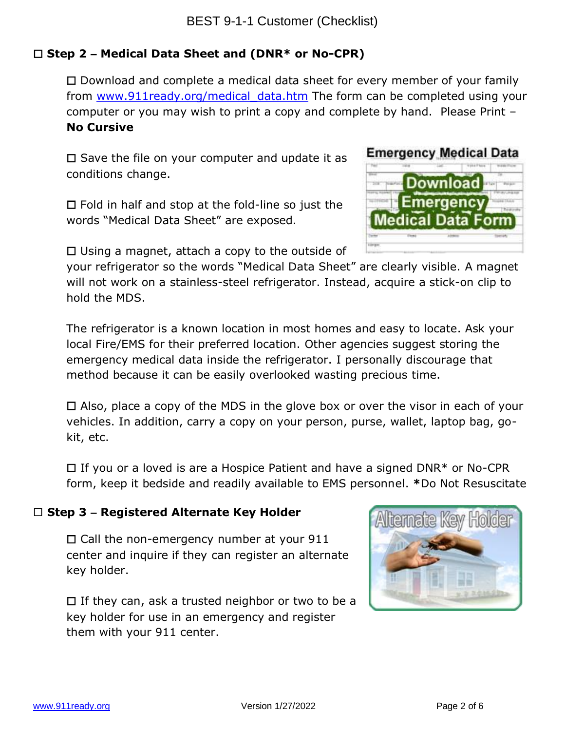## **Step 2 – Medical Data Sheet and (DNR\* or No-CPR)**

 $\Box$  Download and complete a medical data sheet for every member of your family from www.911ready.org/medical data.htm The form can be completed using your computer or you may wish to print a copy and complete by hand. Please Print – **No Cursive**

 $\square$  Save the file on your computer and update it as conditions change.

 $\Box$  Fold in half and stop at the fold-line so just the words "Medical Data Sheet" are exposed.

 $\Box$  Using a magnet, attach a copy to the outside of

your refrigerator so the words "Medical Data Sheet" are clearly visible. A magnet will not work on a stainless-steel refrigerator. Instead, acquire a stick-on clip to hold the MDS.

The refrigerator is a known location in most homes and easy to locate. Ask your local Fire/EMS for their preferred location. Other agencies suggest storing the emergency medical data inside the refrigerator. I personally discourage that method because it can be easily overlooked wasting precious time.

 $\Box$  Also, place a copy of the MDS in the glove box or over the visor in each of your vehicles. In addition, carry a copy on your person, purse, wallet, laptop bag, gokit, etc.

 $\Box$  If you or a loved is are a Hospice Patient and have a signed DNR\* or No-CPR form, keep it bedside and readily available to EMS personnel. **\***Do Not Resuscitate

#### **Step 3 – Registered Alternate Key Holder**

 $\Box$  Call the non-emergency number at your 911 center and inquire if they can register an alternate key holder.

 $\Box$  If they can, ask a trusted neighbor or two to be a key holder for use in an emergency and register them with your 911 center.



**Emergency Medical Data** 

**Download** 

Emergency **Medical Data Form**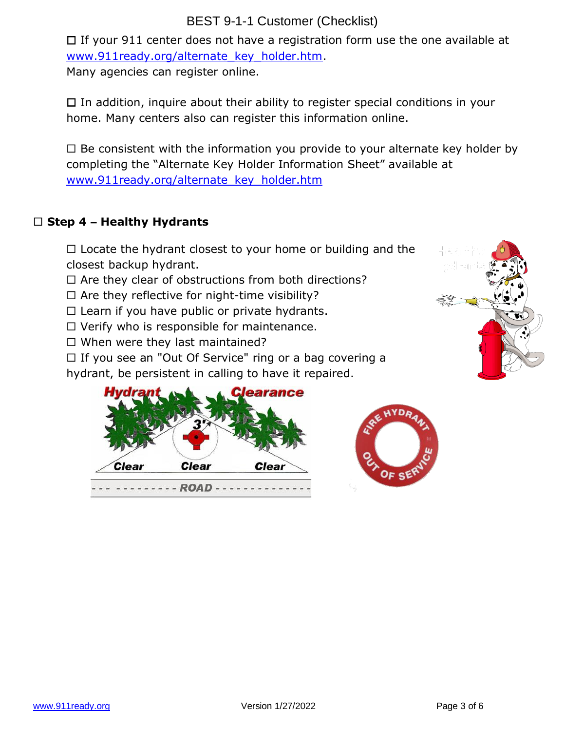## BEST 9-1-1 Customer (Checklist)

 $\Box$  If your 911 center does not have a registration form use the one available at [www.911ready.org/alternate\\_key\\_holder.htm.](http://www.911ready.org/alternate_key_holder.htm)

Many agencies can register online.

 $\Box$  In addition, inquire about their ability to register special conditions in your home. Many centers also can register this information online.

 $\Box$  Be consistent with the information you provide to your alternate key holder by completing the "Alternate Key Holder Information Sheet" available at [www.911ready.org/alternate\\_key\\_holder.htm](http://www.911ready.org/alternate_key_holder.htm)

## **Step 4 – Healthy Hydrants**

 $\Box$  Locate the hydrant closest to your home or building and the closest backup hydrant.

- $\Box$  Are they clear of obstructions from both directions?
- $\Box$  Are they reflective for night-time visibility?
- $\square$  Learn if you have public or private hydrants.
- $\Box$  Verify who is responsible for maintenance.
- $\Box$  When were they last maintained?

 $\Box$  If you see an "Out Of Service" ring or a bag covering a

hydrant, be persistent in calling to have it repaired.





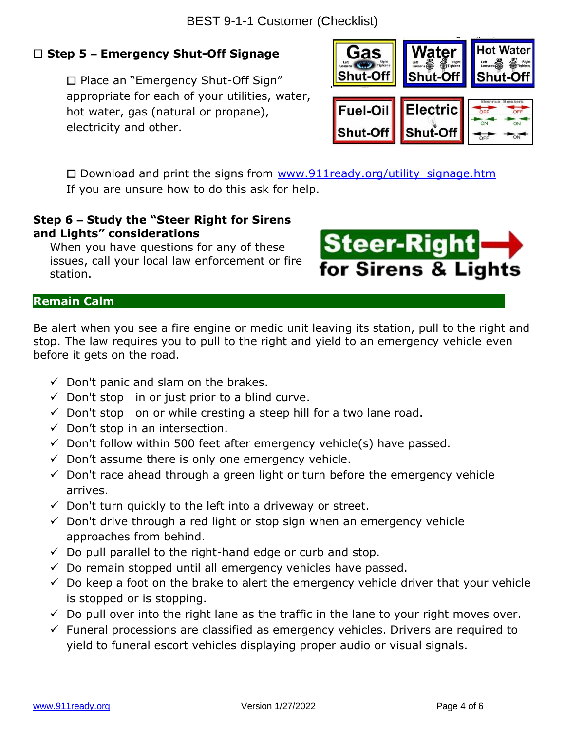## **Step 5 – Emergency Shut-Off Signage**

□ Place an "Emergency Shut-Off Sign" appropriate for each of your utilities, water, hot water, gas (natural or propane), electricity and other.



 $\square$  Download and print the signs from www.911ready.org/utility signage.htm If you are unsure how to do this ask for help.

### **Step 6 – Study the "Steer Right for Sirens and Lights" considerations**

When you have questions for any of these issues, call your local law enforcement or fire station.



#### **Remain Calm .**

Be alert when you see a fire engine or medic unit leaving its station, pull to the right and stop. The law requires you to pull to the right and yield to an emergency vehicle even before it gets on the road.

- $\checkmark$  Don't panic and slam on the brakes.
- $\checkmark$  Don't stop in or just prior to a blind curve.
- $\checkmark$  Don't stop on or while cresting a steep hill for a two lane road.
- $\checkmark$  Don't stop in an intersection.
- $\checkmark$  Don't follow within 500 feet after emergency vehicle(s) have passed.
- $\checkmark$  Don't assume there is only one emergency vehicle.
- $\checkmark$  Don't race ahead through a green light or turn before the emergency vehicle arrives.
- $\checkmark$  Don't turn quickly to the left into a driveway or street.
- $\checkmark$  Don't drive through a red light or stop sign when an emergency vehicle approaches from behind.
- $\checkmark$  Do pull parallel to the right-hand edge or curb and stop.
- $\checkmark$  Do remain stopped until all emergency vehicles have passed.
- $\checkmark$  Do keep a foot on the brake to alert the emergency vehicle driver that your vehicle is stopped or is stopping.
- $\checkmark$  Do pull over into the right lane as the traffic in the lane to your right moves over.
- $\checkmark$  Funeral processions are classified as emergency vehicles. Drivers are required to yield to funeral escort vehicles displaying proper audio or visual signals.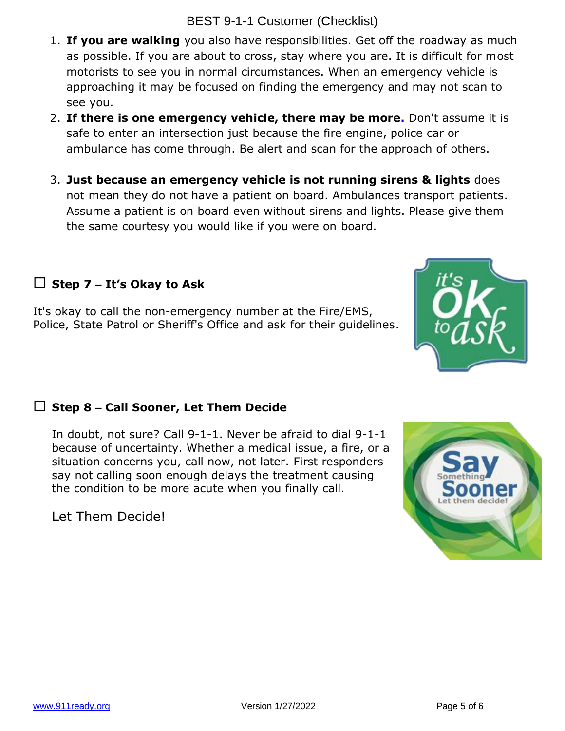- 1. **If you are walking** you also have responsibilities. Get off the roadway as much as possible. If you are about to cross, stay where you are. It is difficult for most motorists to see you in normal circumstances. When an emergency vehicle is approaching it may be focused on finding the emergency and may not scan to see you.
- 2. **If there is one emergency vehicle, there may be more.** Don't assume it is safe to enter an intersection just because the fire engine, police car or ambulance has come through. Be alert and scan for the approach of others.
- 3. **Just because an emergency vehicle is not running sirens & lights** does not mean they do not have a patient on board. Ambulances transport patients. Assume a patient is on board even without sirens and lights. Please give them the same courtesy you would like if you were on board.

## **Step 7 – It's Okay to Ask**

It's okay to call the non-emergency number at the Fire/EMS, Police, State Patrol or Sheriff's Office and ask for their guidelines.

## **Step 8 – Call Sooner, Let Them Decide**

In doubt, not sure? Call 9-1-1. Never be afraid to dial 9-1-1 because of uncertainty. Whether a medical issue, a fire, or a situation concerns you, call now, not later. First responders say not calling soon enough delays the treatment causing the condition to be more acute when you finally call.

Let Them Decide!